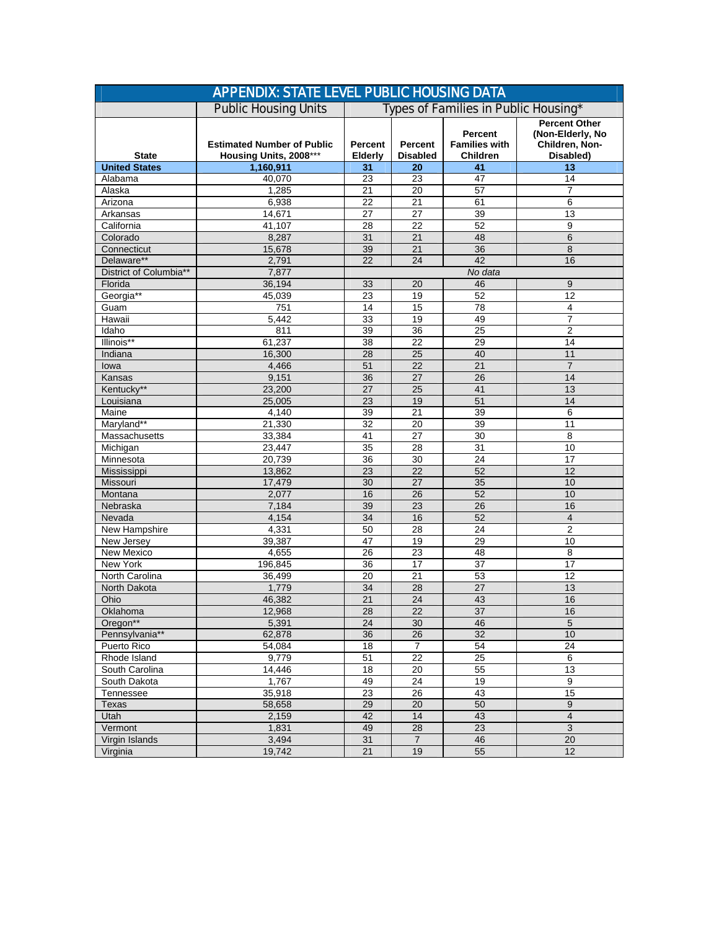| <b>APPENDIX: STATE LEVEL PUBLIC HOUSING DATA</b> |                                                             |                                      |                            |                                                    |                                                                         |  |  |  |
|--------------------------------------------------|-------------------------------------------------------------|--------------------------------------|----------------------------|----------------------------------------------------|-------------------------------------------------------------------------|--|--|--|
|                                                  | <b>Public Housing Units</b>                                 | Types of Families in Public Housing* |                            |                                                    |                                                                         |  |  |  |
| <b>State</b>                                     | <b>Estimated Number of Public</b><br>Housing Units, 2008*** | Percent<br>Elderly                   | Percent<br><b>Disabled</b> | Percent<br><b>Families with</b><br><b>Children</b> | <b>Percent Other</b><br>(Non-Elderly, No<br>Children, Non-<br>Disabled) |  |  |  |
| <b>United States</b>                             | 1,160,911                                                   | 31                                   | 20                         | 41                                                 | 13                                                                      |  |  |  |
| Alabama                                          | 40,070                                                      | 23                                   | 23                         | 47                                                 | 14                                                                      |  |  |  |
| Alaska                                           | 1,285                                                       | 21                                   | 20                         | 57                                                 | 7                                                                       |  |  |  |
| Arizona                                          | 6,938                                                       | 22                                   | 21                         | 61                                                 | 6                                                                       |  |  |  |
| Arkansas                                         | 14,671                                                      | 27                                   | 27                         | 39                                                 | 13                                                                      |  |  |  |
| California                                       | 41,107                                                      | 28                                   | 22                         | 52                                                 | 9                                                                       |  |  |  |
| Colorado                                         | 8,287                                                       | 31                                   | 21                         | 48                                                 | $\,6$                                                                   |  |  |  |
| Connecticut                                      | 15,678                                                      | 39                                   | 21                         | 36                                                 | 8                                                                       |  |  |  |
| Delaware**                                       | 2,791                                                       | 22                                   | 24                         | 42                                                 | 16                                                                      |  |  |  |
| District of Columbia**                           | 7,877                                                       | No data                              |                            |                                                    |                                                                         |  |  |  |
| Florida                                          | 36,194                                                      | 33                                   | 20                         | 46                                                 | 9                                                                       |  |  |  |
| Georgia**                                        | 45,039                                                      | 23                                   | 19                         | 52                                                 | 12                                                                      |  |  |  |
| Guam                                             | 751                                                         | 14                                   | $\overline{15}$            | 78                                                 | 4                                                                       |  |  |  |
| Hawaii                                           | 5,442                                                       | 33                                   | 19                         | 49                                                 | 7                                                                       |  |  |  |
| Idaho                                            | 811                                                         | 39                                   | 36                         | 25                                                 | $\overline{2}$                                                          |  |  |  |
| Illinois**                                       | 61,237                                                      | $\overline{38}$                      | $\overline{22}$            | 29                                                 | 14                                                                      |  |  |  |
| Indiana                                          | 16,300                                                      | 28                                   | 25                         | 40                                                 | 11                                                                      |  |  |  |
| lowa                                             | 4,466                                                       | 51                                   | 22                         | 21                                                 | $\overline{7}$                                                          |  |  |  |
| Kansas                                           | 9,151                                                       | 36                                   | 27                         | 26                                                 | 14                                                                      |  |  |  |
| Kentucky**                                       | 23,200                                                      | 27                                   | 25                         | 41                                                 | 13                                                                      |  |  |  |
| Louisiana                                        | 25,005                                                      | 23                                   | 19                         | 51                                                 | 14                                                                      |  |  |  |
| Maine                                            | 4,140                                                       | 39                                   | 21                         | 39                                                 | 6                                                                       |  |  |  |
| Maryland**                                       | 21,330                                                      | 32                                   | 20                         | 39                                                 | 11                                                                      |  |  |  |
| Massachusetts                                    | 33,384                                                      | 41                                   | 27                         | 30                                                 | 8                                                                       |  |  |  |
| Michigan                                         | 23,447                                                      | 35                                   | 28                         | 31                                                 | 10                                                                      |  |  |  |
| Minnesota                                        | 20,739                                                      | 36                                   | 30                         | 24                                                 | 17                                                                      |  |  |  |
| Mississippi                                      | 13,862                                                      | 23                                   | 22                         | 52                                                 | 12                                                                      |  |  |  |
| Missouri                                         | 17,479                                                      | 30                                   | 27                         | 35                                                 | 10                                                                      |  |  |  |
| Montana                                          | 2,077                                                       | 16                                   | 26                         | 52                                                 | 10                                                                      |  |  |  |
| Nebraska                                         | 7,184                                                       | 39                                   | 23                         | 26                                                 | 16                                                                      |  |  |  |
| Nevada                                           | 4,154                                                       | 34                                   | 16                         | 52                                                 | $\overline{4}$                                                          |  |  |  |
| <b>New Hampshire</b>                             | 4,331                                                       | 50                                   | 28                         | 24                                                 | $\overline{2}$                                                          |  |  |  |
| New Jersey                                       | 39,387                                                      | 47                                   | 19                         | 29                                                 | 10                                                                      |  |  |  |
| New Mexico                                       | 4,655                                                       | 26                                   | 23                         | 48                                                 | 8                                                                       |  |  |  |
| New York                                         | 196,845                                                     | 36                                   | 17                         | 37                                                 | 17                                                                      |  |  |  |
| North Carolina                                   | 36,499                                                      | 20                                   | 21                         | 53                                                 | 12                                                                      |  |  |  |
| North Dakota                                     | 1,779                                                       | 34                                   | 28                         | 27                                                 | 13                                                                      |  |  |  |
| Ohio                                             | 46,382                                                      | 21                                   | 24                         | 43                                                 | 16                                                                      |  |  |  |
| Oklahoma                                         | 12,968                                                      | $\overline{28}$                      | $\overline{22}$            | $\overline{37}$                                    | 16                                                                      |  |  |  |
| Oregon**                                         | 5,391                                                       | 24                                   | 30                         | 46                                                 | 5                                                                       |  |  |  |
| Pennsylvania**                                   | 62,878                                                      | 36                                   | 26                         | 32                                                 | 10                                                                      |  |  |  |
| Puerto Rico                                      | 54,084                                                      | 18                                   | $\overline{7}$             | 54                                                 | 24                                                                      |  |  |  |
| Rhode Island                                     | 9,779                                                       | 51                                   | $\overline{22}$            | 25                                                 | 6                                                                       |  |  |  |
| South Carolina                                   | 14,446                                                      | $18$                                 | $20\,$                     | 55                                                 | 13                                                                      |  |  |  |
| South Dakota                                     | 1,767                                                       | 49                                   | $\overline{24}$            | 19                                                 | 9                                                                       |  |  |  |
| Tennessee                                        | 35,918                                                      | 23                                   | 26                         | 43                                                 | 15                                                                      |  |  |  |
| Texas                                            | 58,658                                                      | 29                                   | 20                         | 50                                                 | 9                                                                       |  |  |  |
| Utah                                             | 2,159                                                       | 42                                   | 14                         | 43                                                 | $\overline{\mathbf{4}}$                                                 |  |  |  |
| Vermont                                          | 1,831                                                       | 49                                   | 28                         | 23                                                 | $\mathbf{3}$                                                            |  |  |  |
| Virgin Islands                                   | 3,494                                                       | 31                                   | $\overline{7}$             | 46                                                 | $20\,$                                                                  |  |  |  |
| Virginia                                         | 19,742                                                      | 21                                   | 19                         | 55                                                 | 12                                                                      |  |  |  |